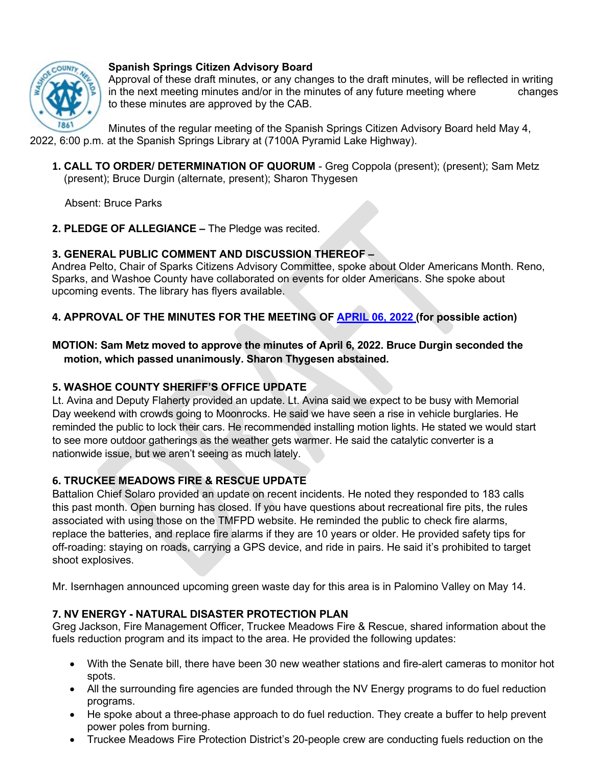

### **Spanish Springs Citizen Advisory Board**

Approval of these draft minutes, or any changes to the draft minutes, will be reflected in writing in the next meeting minutes and/or in the minutes of any future meeting where changes to these minutes are approved by the CAB.

Minutes of the regular meeting of the Spanish Springs Citizen Advisory Board held May 4, 2022, 6:00 p.m. at the Spanish Springs Library at (7100A Pyramid Lake Highway).

**1. CALL TO ORDER/ DETERMINATION OF QUORUM** - Greg Coppola (present); (present); Sam Metz (present); Bruce Durgin (alternate, present); Sharon Thygesen

Absent: Bruce Parks

**2. PLEDGE OF ALLEGIANCE –** The Pledge was recited.

## **3. GENERAL PUBLIC COMMENT AND DISCUSSION THEREOF –**

Andrea Pelto, Chair of Sparks Citizens Advisory Committee, spoke about Older Americans Month. Reno, Sparks, and Washoe County have collaborated on events for older Americans. She spoke about upcoming events. The library has flyers available.

## **4. APPROVAL OF THE MINUTES FOR THE MEETING OF APRIL [06, 2022](https://www.washoecounty.gov/CABS/SS_CAB/2022/files/Spanish-Springs-CAB-draft-minutes_April_2022.pdf) (for possible action)**

## **MOTION: Sam Metz moved to approve the minutes of April 6, 2022. Bruce Durgin seconded the motion, which passed unanimously. Sharon Thygesen abstained.**

## **5. WASHOE COUNTY SHERIFF'S OFFICE UPDATE**

Lt. Avina and Deputy Flaherty provided an update. Lt. Avina said we expect to be busy with Memorial Day weekend with crowds going to Moonrocks. He said we have seen a rise in vehicle burglaries. He reminded the public to lock their cars. He recommended installing motion lights. He stated we would start to see more outdoor gatherings as the weather gets warmer. He said the catalytic converter is a nationwide issue, but we aren't seeing as much lately.

# **6. TRUCKEE MEADOWS FIRE & RESCUE UPDATE**

Battalion Chief Solaro provided an update on recent incidents. He noted they responded to 183 calls this past month. Open burning has closed. If you have questions about recreational fire pits, the rules associated with using those on the TMFPD website. He reminded the public to check fire alarms, replace the batteries, and replace fire alarms if they are 10 years or older. He provided safety tips for off-roading: staying on roads, carrying a GPS device, and ride in pairs. He said it's prohibited to target shoot explosives.

Mr. Isernhagen announced upcoming green waste day for this area is in Palomino Valley on May 14.

### **7. NV ENERGY - NATURAL DISASTER PROTECTION PLAN**

Greg Jackson, Fire Management Officer, Truckee Meadows Fire & Rescue, shared information about the fuels reduction program and its impact to the area. He provided the following updates:

- With the Senate bill, there have been 30 new weather stations and fire-alert cameras to monitor hot spots.
- All the surrounding fire agencies are funded through the NV Energy programs to do fuel reduction programs.
- He spoke about a three-phase approach to do fuel reduction. They create a buffer to help prevent power poles from burning.
- Truckee Meadows Fire Protection District's 20-people crew are conducting fuels reduction on the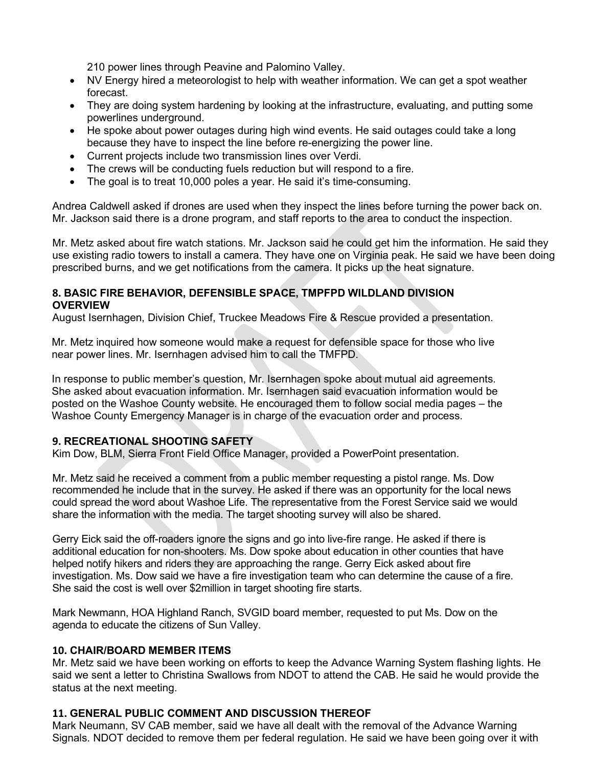210 power lines through Peavine and Palomino Valley.

- NV Energy hired a meteorologist to help with weather information. We can get a spot weather forecast.
- They are doing system hardening by looking at the infrastructure, evaluating, and putting some powerlines underground.
- He spoke about power outages during high wind events. He said outages could take a long because they have to inspect the line before re-energizing the power line.
- Current projects include two transmission lines over Verdi.
- The crews will be conducting fuels reduction but will respond to a fire.
- The goal is to treat 10,000 poles a year. He said it's time-consuming.

Andrea Caldwell asked if drones are used when they inspect the lines before turning the power back on. Mr. Jackson said there is a drone program, and staff reports to the area to conduct the inspection.

Mr. Metz asked about fire watch stations. Mr. Jackson said he could get him the information. He said they use existing radio towers to install a camera. They have one on Virginia peak. He said we have been doing prescribed burns, and we get notifications from the camera. It picks up the heat signature.

#### **8. BASIC FIRE BEHAVIOR, DEFENSIBLE SPACE, TMPFPD WILDLAND DIVISION OVERVIEW**

August Isernhagen, Division Chief, Truckee Meadows Fire & Rescue provided a presentation.

Mr. Metz inquired how someone would make a request for defensible space for those who live near power lines. Mr. Isernhagen advised him to call the TMFPD.

In response to public member's question, Mr. Isernhagen spoke about mutual aid agreements. She asked about evacuation information. Mr. Isernhagen said evacuation information would be posted on the Washoe County website. He encouraged them to follow social media pages – the Washoe County Emergency Manager is in charge of the evacuation order and process.

### **9. RECREATIONAL SHOOTING SAFETY**

Kim Dow, BLM, Sierra Front Field Office Manager, provided a PowerPoint presentation.

Mr. Metz said he received a comment from a public member requesting a pistol range. Ms. Dow recommended he include that in the survey. He asked if there was an opportunity for the local news could spread the word about Washoe Life. The representative from the Forest Service said we would share the information with the media. The target shooting survey will also be shared.

Gerry Eick said the off-roaders ignore the signs and go into live-fire range. He asked if there is additional education for non-shooters. Ms. Dow spoke about education in other counties that have helped notify hikers and riders they are approaching the range. Gerry Eick asked about fire investigation. Ms. Dow said we have a fire investigation team who can determine the cause of a fire. She said the cost is well over \$2million in target shooting fire starts.

Mark Newmann, HOA Highland Ranch, SVGID board member, requested to put Ms. Dow on the agenda to educate the citizens of Sun Valley.

#### **10. CHAIR/BOARD MEMBER ITEMS**

Mr. Metz said we have been working on efforts to keep the Advance Warning System flashing lights. He said we sent a letter to Christina Swallows from NDOT to attend the CAB. He said he would provide the status at the next meeting.

#### **11. GENERAL PUBLIC COMMENT AND DISCUSSION THEREOF**

Mark Neumann, SV CAB member, said we have all dealt with the removal of the Advance Warning Signals. NDOT decided to remove them per federal regulation. He said we have been going over it with